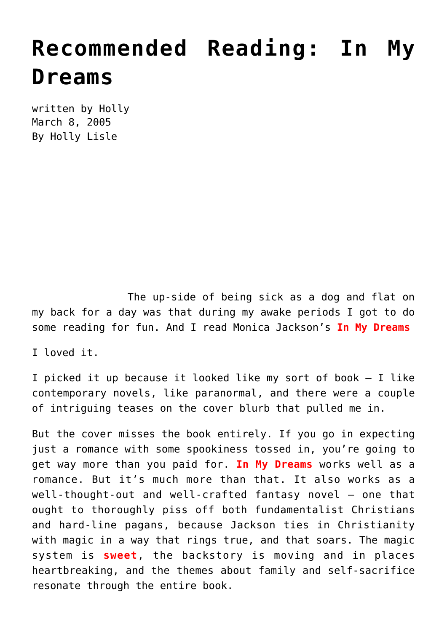## **[Recommended Reading: In My](https://hollylisle.com/recommended-reading-in-my-dreams/) [Dreams](https://hollylisle.com/recommended-reading-in-my-dreams/)**

written by Holly March 8, 2005 [By Holly Lisle](https://hollylisle.com)

The up-side of being sick as a dog and flat on my back for a day was that during my awake periods I got to do some reading for fun. And I read Monica Jackson's **In My Dreams**

I loved it.

I picked it up because it looked like my sort of book — I like contemporary novels, like paranormal, and there were a couple of intriguing teases on the cover blurb that pulled me in.

But the cover misses the book entirely. If you go in expecting just a romance with some spookiness tossed in, you're going to get way more than you paid for. **In My Dreams** works well as a romance. But it's much more than that. It also works as a well-thought-out and well-crafted fantasy novel — one that ought to thoroughly piss off both fundamentalist Christians and hard-line pagans, because Jackson ties in Christianity with magic in a way that rings true, and that soars. The magic system is **sweet**, the backstory is moving and in places heartbreaking, and the themes about family and self-sacrifice resonate through the entire book.